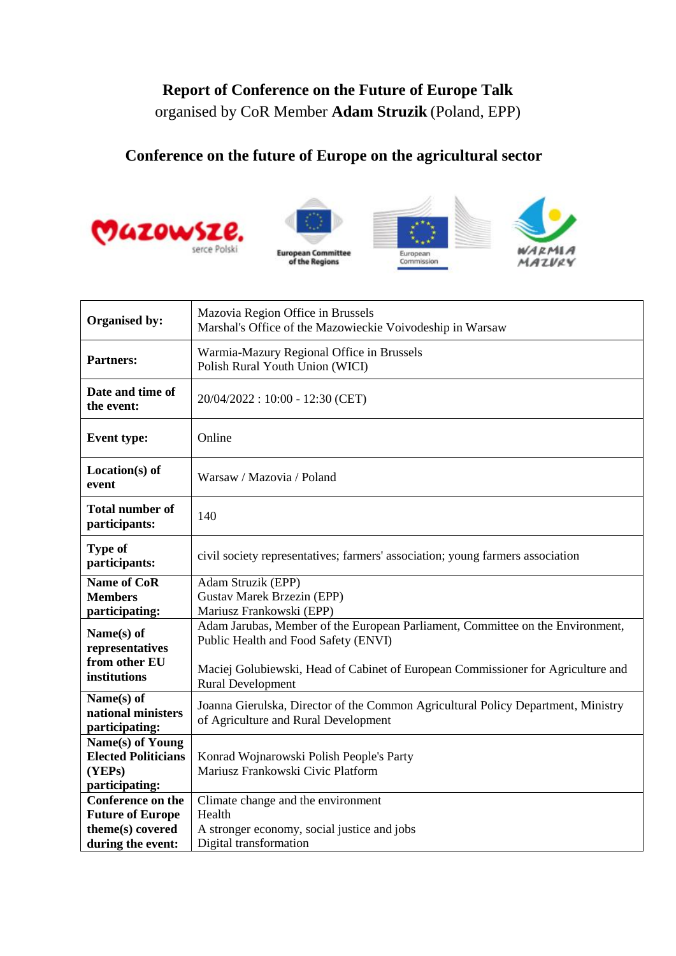## **Report of Conference on the Future of Europe Talk** organised by CoR Member **Adam Struzik** (Poland, EPP)

## **Conference on the future of Europe on the agricultural sector**









| Organised by:                                      | Mazovia Region Office in Brussels<br>Marshal's Office of the Mazowieckie Voivodeship in Warsaw                            |
|----------------------------------------------------|---------------------------------------------------------------------------------------------------------------------------|
| <b>Partners:</b>                                   | Warmia-Mazury Regional Office in Brussels<br>Polish Rural Youth Union (WICI)                                              |
| Date and time of<br>the event:                     | 20/04/2022: 10:00 - 12:30 (CET)                                                                                           |
| <b>Event type:</b>                                 | Online                                                                                                                    |
| $Location(s)$ of<br>event                          | Warsaw / Mazovia / Poland                                                                                                 |
| <b>Total number of</b><br>participants:            | 140                                                                                                                       |
| Type of<br>participants:                           | civil society representatives; farmers' association; young farmers association                                            |
| <b>Name of CoR</b>                                 | Adam Struzik (EPP)                                                                                                        |
| <b>Members</b>                                     | <b>Gustav Marek Brzezin (EPP)</b>                                                                                         |
| participating:                                     | Mariusz Frankowski (EPP)                                                                                                  |
| Name(s) of<br>representatives                      | Adam Jarubas, Member of the European Parliament, Committee on the Environment,<br>Public Health and Food Safety (ENVI)    |
| from other EU<br>institutions                      | Maciej Golubiewski, Head of Cabinet of European Commissioner for Agriculture and<br><b>Rural Development</b>              |
| Name(s) of<br>national ministers<br>participating: | Joanna Gierulska, Director of the Common Agricultural Policy Department, Ministry<br>of Agriculture and Rural Development |
| Name(s) of Young                                   |                                                                                                                           |
| <b>Elected Politicians</b>                         | Konrad Wojnarowski Polish People's Party                                                                                  |
| (YEPs)                                             | Mariusz Frankowski Civic Platform                                                                                         |
| participating:                                     |                                                                                                                           |
| <b>Conference on the</b>                           | Climate change and the environment                                                                                        |
| <b>Future of Europe</b>                            | Health                                                                                                                    |
| theme(s) covered                                   | A stronger economy, social justice and jobs                                                                               |
| during the event:                                  | Digital transformation                                                                                                    |